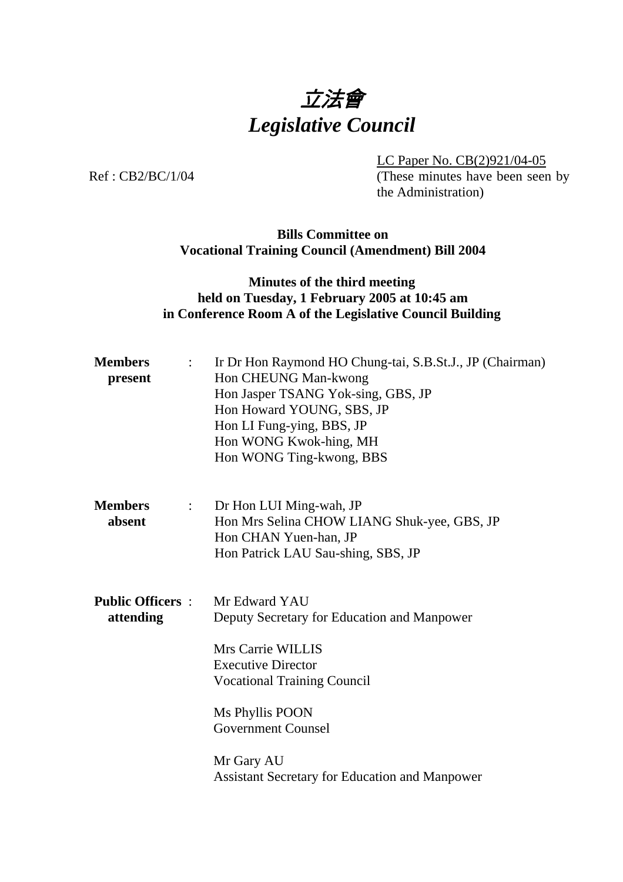

 LC Paper No. CB(2)921/04-05 Ref: CB2/BC/1/04 (These minutes have been seen by the Administration)

> **Bills Committee on Vocational Training Council (Amendment) Bill 2004**

# **Minutes of the third meeting held on Tuesday, 1 February 2005 at 10:45 am in Conference Room A of the Legislative Council Building**

| <b>Members</b><br>$\mathbb{Z}^{\mathbb{Z}}$<br>present | Ir Dr Hon Raymond HO Chung-tai, S.B.St.J., JP (Chairman)<br>Hon CHEUNG Man-kwong<br>Hon Jasper TSANG Yok-sing, GBS, JP<br>Hon Howard YOUNG, SBS, JP<br>Hon LI Fung-ying, BBS, JP<br>Hon WONG Kwok-hing, MH<br>Hon WONG Ting-kwong, BBS                                      |
|--------------------------------------------------------|-----------------------------------------------------------------------------------------------------------------------------------------------------------------------------------------------------------------------------------------------------------------------------|
| <b>Members</b><br>$\mathbb{R}^n$<br>absent             | Dr Hon LUI Ming-wah, JP<br>Hon Mrs Selina CHOW LIANG Shuk-yee, GBS, JP<br>Hon CHAN Yuen-han, JP<br>Hon Patrick LAU Sau-shing, SBS, JP                                                                                                                                       |
| <b>Public Officers:</b><br>attending                   | Mr Edward YAU<br>Deputy Secretary for Education and Manpower<br>Mrs Carrie WILLIS<br><b>Executive Director</b><br><b>Vocational Training Council</b><br>Ms Phyllis POON<br><b>Government Counsel</b><br>Mr Gary AU<br><b>Assistant Secretary for Education and Manpower</b> |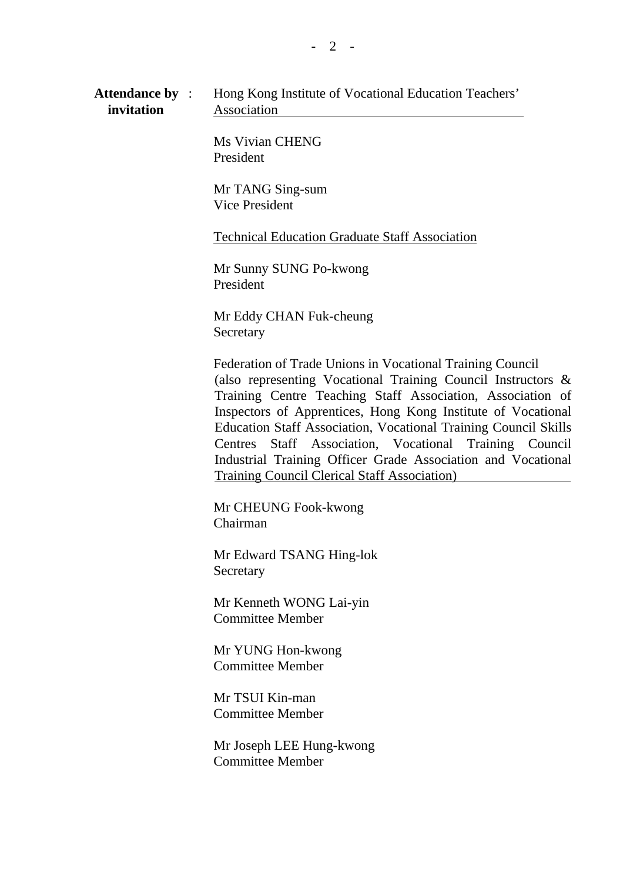Ms Vivian CHENG President

 Mr TANG Sing-sum Vice President

Technical Education Graduate Staff Association

 Mr Sunny SUNG Po-kwong President

 Mr Eddy CHAN Fuk-cheung **Secretary** 

 Federation of Trade Unions in Vocational Training Council (also representing Vocational Training Council Instructors & Training Centre Teaching Staff Association, Association of Inspectors of Apprentices, Hong Kong Institute of Vocational Education Staff Association, Vocational Training Council Skills Centres Staff Association, Vocational Training Council Industrial Training Officer Grade Association and Vocational Training Council Clerical Staff Association)

 Mr CHEUNG Fook-kwong Chairman

 Mr Edward TSANG Hing-lok Secretary

 Mr Kenneth WONG Lai-yin Committee Member

 Mr YUNG Hon-kwong Committee Member

 Mr TSUI Kin-man Committee Member

 Mr Joseph LEE Hung-kwong Committee Member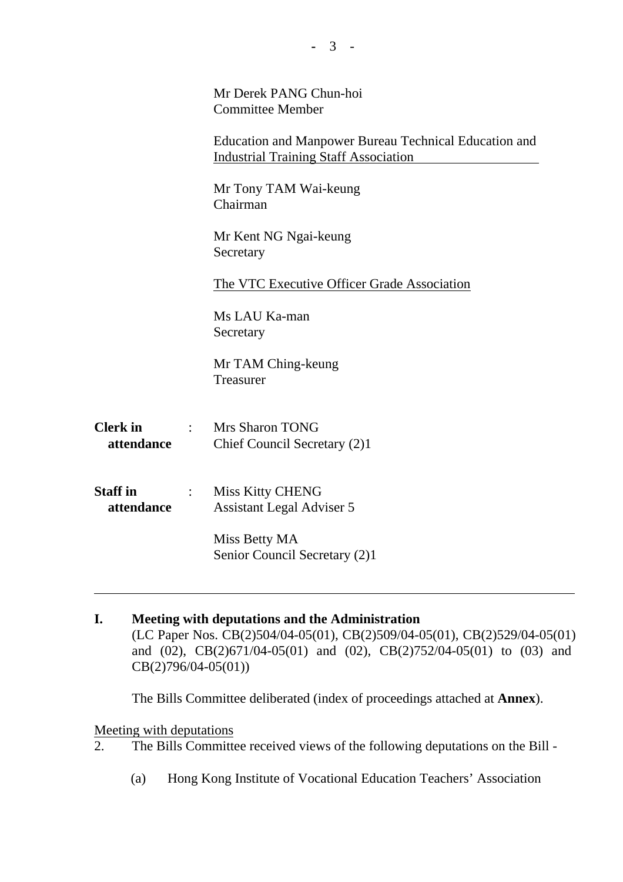|                               |                            | Mr Derek PANG Chun-hoi<br><b>Committee Member</b>                                                     |  |  |
|-------------------------------|----------------------------|-------------------------------------------------------------------------------------------------------|--|--|
|                               |                            | Education and Manpower Bureau Technical Education and<br><b>Industrial Training Staff Association</b> |  |  |
|                               |                            | Mr Tony TAM Wai-keung<br>Chairman                                                                     |  |  |
|                               |                            | Mr Kent NG Ngai-keung<br>Secretary                                                                    |  |  |
|                               |                            | The VTC Executive Officer Grade Association                                                           |  |  |
|                               |                            | Ms LAU Ka-man<br>Secretary                                                                            |  |  |
|                               |                            | Mr TAM Ching-keung<br>Treasurer                                                                       |  |  |
| <b>Clerk</b> in<br>attendance | $\mathbb{R}^{\mathbb{Z}}$  | <b>Mrs Sharon TONG</b><br>Chief Council Secretary (2)1                                                |  |  |
| <b>Staff in</b><br>attendance | $\mathcal{L}^{\text{max}}$ | Miss Kitty CHENG<br><b>Assistant Legal Adviser 5</b>                                                  |  |  |
|                               |                            | Miss Betty MA<br>Senior Council Secretary (2)1                                                        |  |  |
|                               |                            |                                                                                                       |  |  |

**I. Meeting with deputations and the Administration**  (LC Paper Nos. CB(2)504/04-05(01), CB(2)509/04-05(01), CB(2)529/04-05(01) and (02), CB(2)671/04-05(01) and (02), CB(2)752/04-05(01) to (03) and CB(2)796/04-05(01))

The Bills Committee deliberated (index of proceedings attached at **Annex**).

### Meeting with deputations

- 2. The Bills Committee received views of the following deputations on the Bill
	- (a) Hong Kong Institute of Vocational Education Teachers' Association

**-** 3 -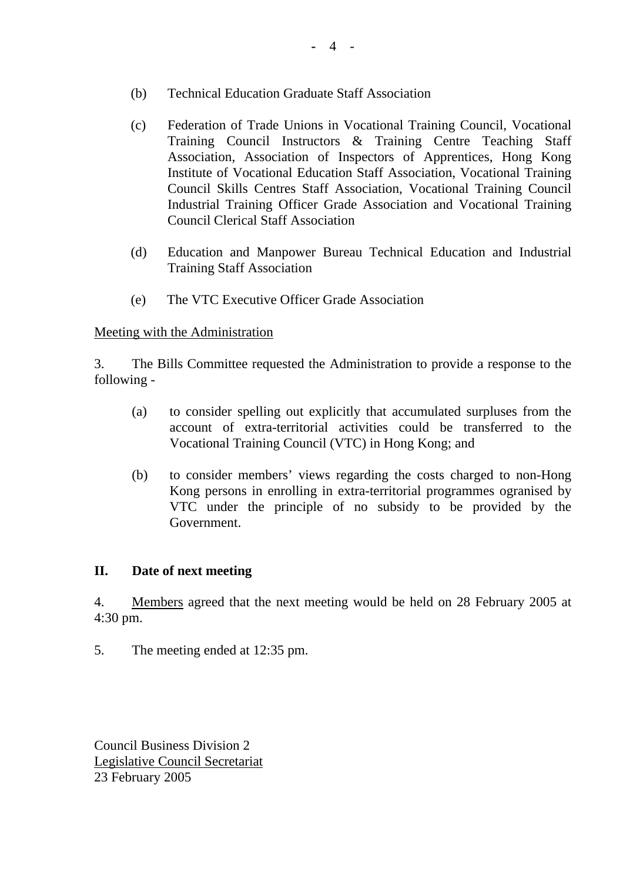- (b) Technical Education Graduate Staff Association
- (c) Federation of Trade Unions in Vocational Training Council, Vocational Training Council Instructors & Training Centre Teaching Staff Association, Association of Inspectors of Apprentices, Hong Kong Institute of Vocational Education Staff Association, Vocational Training Council Skills Centres Staff Association, Vocational Training Council Industrial Training Officer Grade Association and Vocational Training Council Clerical Staff Association
- (d) Education and Manpower Bureau Technical Education and Industrial Training Staff Association
- (e) The VTC Executive Officer Grade Association

#### Meeting with the Administration

3. The Bills Committee requested the Administration to provide a response to the following -

- (a) to consider spelling out explicitly that accumulated surpluses from the account of extra-territorial activities could be transferred to the Vocational Training Council (VTC) in Hong Kong; and
- (b) to consider members' views regarding the costs charged to non-Hong Kong persons in enrolling in extra-territorial programmes ogranised by VTC under the principle of no subsidy to be provided by the Government.

## **II. Date of next meeting**

4. Members agreed that the next meeting would be held on 28 February 2005 at 4:30 pm.

5. The meeting ended at 12:35 pm.

Council Business Division 2 Legislative Council Secretariat 23 February 2005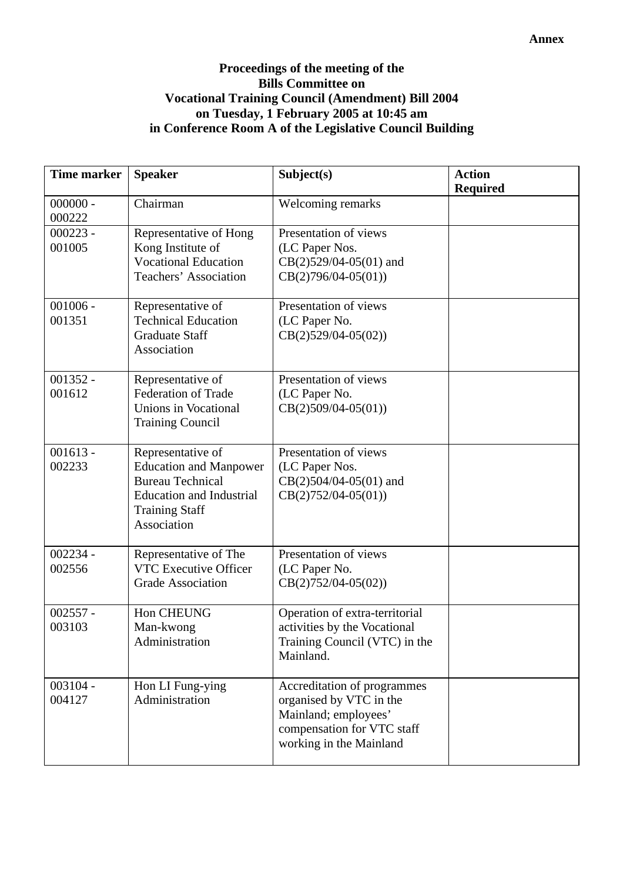## **Proceedings of the meeting of the Bills Committee on Vocational Training Council (Amendment) Bill 2004 on Tuesday, 1 February 2005 at 10:45 am in Conference Room A of the Legislative Council Building**

| <b>Time marker</b>   | <b>Speaker</b>                                                                                                                                           | Subject(s)                                                                                                                              | <b>Action</b><br><b>Required</b> |
|----------------------|----------------------------------------------------------------------------------------------------------------------------------------------------------|-----------------------------------------------------------------------------------------------------------------------------------------|----------------------------------|
| $000000 -$<br>000222 | Chairman                                                                                                                                                 | Welcoming remarks                                                                                                                       |                                  |
| $000223 -$<br>001005 | Representative of Hong<br>Kong Institute of<br><b>Vocational Education</b><br>Teachers' Association                                                      | Presentation of views<br>(LC Paper Nos.<br>$CB(2)529/04-05(01)$ and<br>$CB(2)796/04-05(01))$                                            |                                  |
| $001006 -$<br>001351 | Representative of<br><b>Technical Education</b><br><b>Graduate Staff</b><br>Association                                                                  | Presentation of views<br>(LC Paper No.<br>$CB(2)529/04-05(02))$                                                                         |                                  |
| $001352 -$<br>001612 | Representative of<br><b>Federation of Trade</b><br><b>Unions in Vocational</b><br><b>Training Council</b>                                                | Presentation of views<br>(LC Paper No.<br>$CB(2)509/04-05(01))$                                                                         |                                  |
| $001613 -$<br>002233 | Representative of<br><b>Education and Manpower</b><br><b>Bureau Technical</b><br><b>Education and Industrial</b><br><b>Training Staff</b><br>Association | Presentation of views<br>(LC Paper Nos.<br>$CB(2)504/04-05(01)$ and<br>$CB(2)752/04-05(01))$                                            |                                  |
| $002234 -$<br>002556 | Representative of The<br>VTC Executive Officer<br><b>Grade Association</b>                                                                               | Presentation of views<br>(LC Paper No.<br>$CB(2)752/04-05(02))$                                                                         |                                  |
| $002557 -$<br>003103 | Hon CHEUNG<br>Man-kwong<br>Administration                                                                                                                | Operation of extra-territorial<br>activities by the Vocational<br>Training Council (VTC) in the<br>Mainland.                            |                                  |
| $003104 -$<br>004127 | Hon LI Fung-ying<br>Administration                                                                                                                       | Accreditation of programmes<br>organised by VTC in the<br>Mainland; employees'<br>compensation for VTC staff<br>working in the Mainland |                                  |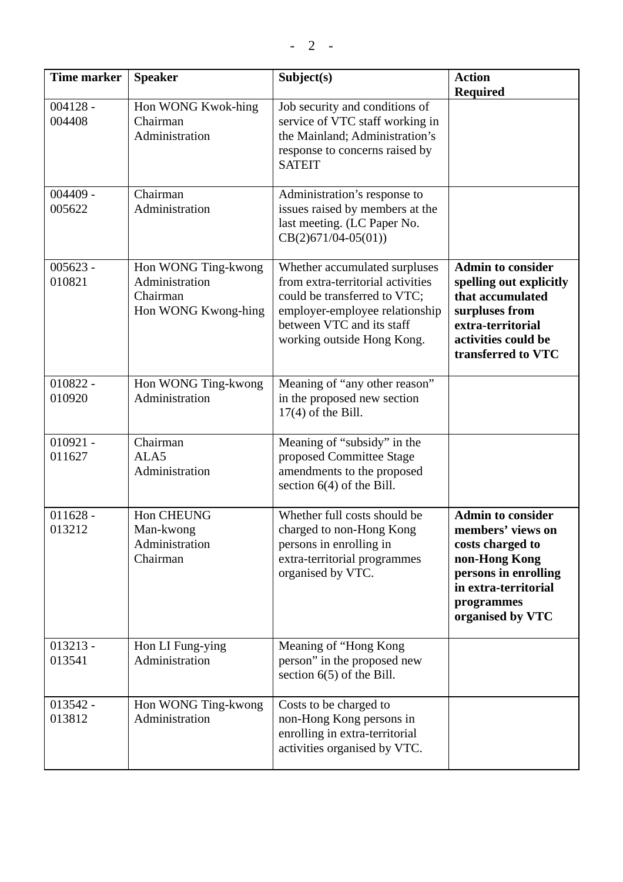| <b>Time marker</b>   | <b>Speaker</b>                                                           | Subject(s)                                                                                                                                                                                      | <b>Action</b><br><b>Required</b>                                                                                                                                     |
|----------------------|--------------------------------------------------------------------------|-------------------------------------------------------------------------------------------------------------------------------------------------------------------------------------------------|----------------------------------------------------------------------------------------------------------------------------------------------------------------------|
| $004128 -$<br>004408 | Hon WONG Kwok-hing<br>Chairman<br>Administration                         | Job security and conditions of<br>service of VTC staff working in<br>the Mainland; Administration's<br>response to concerns raised by<br><b>SATEIT</b>                                          |                                                                                                                                                                      |
| $004409 -$<br>005622 | Chairman<br>Administration                                               | Administration's response to<br>issues raised by members at the<br>last meeting. (LC Paper No.<br>$CB(2)671/04-05(01))$                                                                         |                                                                                                                                                                      |
| $005623 -$<br>010821 | Hon WONG Ting-kwong<br>Administration<br>Chairman<br>Hon WONG Kwong-hing | Whether accumulated surpluses<br>from extra-territorial activities<br>could be transferred to VTC;<br>employer-employee relationship<br>between VTC and its staff<br>working outside Hong Kong. | <b>Admin to consider</b><br>spelling out explicitly<br>that accumulated<br>surpluses from<br>extra-territorial<br>activities could be<br>transferred to VTC          |
| $010822 -$<br>010920 | Hon WONG Ting-kwong<br>Administration                                    | Meaning of "any other reason"<br>in the proposed new section<br>$17(4)$ of the Bill.                                                                                                            |                                                                                                                                                                      |
| $010921 -$<br>011627 | Chairman<br>ALA <sub>5</sub><br>Administration                           | Meaning of "subsidy" in the<br>proposed Committee Stage<br>amendments to the proposed<br>section $6(4)$ of the Bill.                                                                            |                                                                                                                                                                      |
| $011628 -$<br>013212 | Hon CHEUNG<br>Man-kwong<br>Administration<br>Chairman                    | Whether full costs should be<br>charged to non-Hong Kong<br>persons in enrolling in<br>extra-territorial programmes<br>organised by VTC.                                                        | <b>Admin to consider</b><br>members' views on<br>costs charged to<br>non-Hong Kong<br>persons in enrolling<br>in extra-territorial<br>programmes<br>organised by VTC |
| $013213 -$<br>013541 | Hon LI Fung-ying<br>Administration                                       | Meaning of "Hong Kong<br>person" in the proposed new<br>section $6(5)$ of the Bill.                                                                                                             |                                                                                                                                                                      |
| $013542 -$<br>013812 | Hon WONG Ting-kwong<br>Administration                                    | Costs to be charged to<br>non-Hong Kong persons in<br>enrolling in extra-territorial<br>activities organised by VTC.                                                                            |                                                                                                                                                                      |